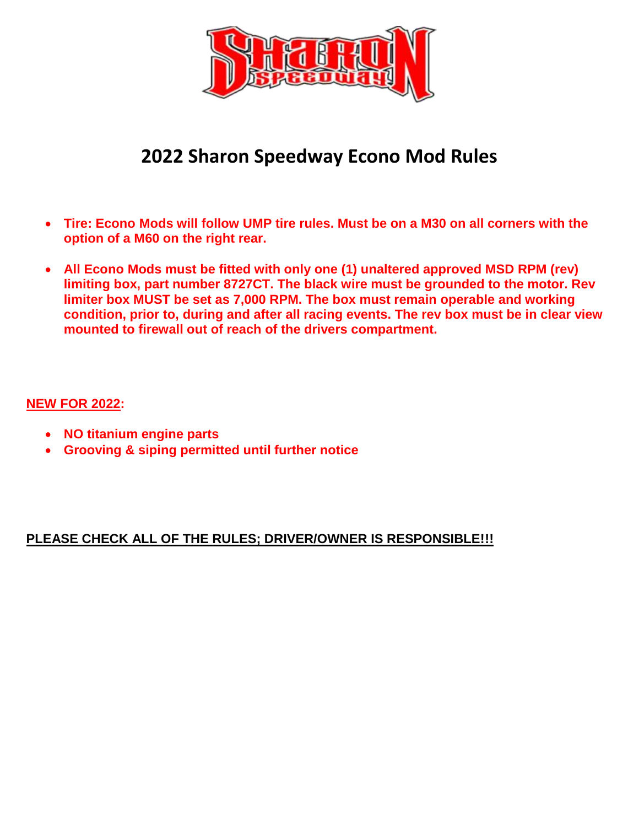

# **2022 Sharon Speedway Econo Mod Rules**

- **Tire: Econo Mods will follow UMP tire rules. Must be on a M30 on all corners with the option of a M60 on the right rear.**
- **All Econo Mods must be fitted with only one (1) unaltered approved MSD RPM (rev) limiting box, part number 8727CT. The black wire must be grounded to the motor. Rev limiter box MUST be set as 7,000 RPM. The box must remain operable and working condition, prior to, during and after all racing events. The rev box must be in clear view mounted to firewall out of reach of the drivers compartment.**

## **NEW FOR 2022:**

- **NO titanium engine parts**
- **Grooving & siping permitted until further notice**

## **PLEASE CHECK ALL OF THE RULES; DRIVER/OWNER IS RESPONSIBLE!!!**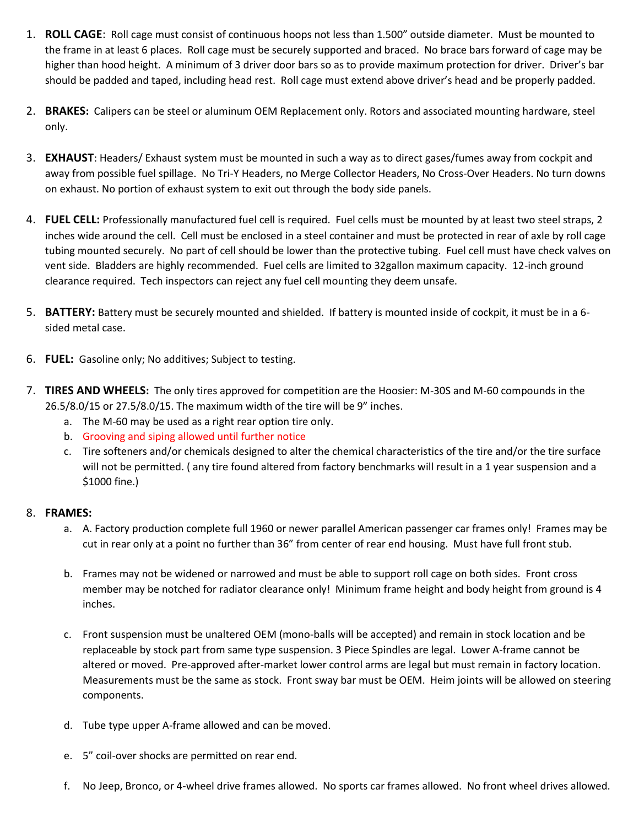- 1. **ROLL CAGE**: Roll cage must consist of continuous hoops not less than 1.500" outside diameter. Must be mounted to the frame in at least 6 places. Roll cage must be securely supported and braced. No brace bars forward of cage may be higher than hood height. A minimum of 3 driver door bars so as to provide maximum protection for driver. Driver's bar should be padded and taped, including head rest. Roll cage must extend above driver's head and be properly padded.
- 2. **BRAKES:** Calipers can be steel or aluminum OEM Replacement only. Rotors and associated mounting hardware, steel only.
- 3. **EXHAUST**: Headers/ Exhaust system must be mounted in such a way as to direct gases/fumes away from cockpit and away from possible fuel spillage. No Tri-Y Headers, no Merge Collector Headers, No Cross-Over Headers. No turn downs on exhaust. No portion of exhaust system to exit out through the body side panels.
- 4. **FUEL CELL:** Professionally manufactured fuel cell is required. Fuel cells must be mounted by at least two steel straps, 2 inches wide around the cell. Cell must be enclosed in a steel container and must be protected in rear of axle by roll cage tubing mounted securely. No part of cell should be lower than the protective tubing. Fuel cell must have check valves on vent side. Bladders are highly recommended. Fuel cells are limited to 32gallon maximum capacity. 12-inch ground clearance required. Tech inspectors can reject any fuel cell mounting they deem unsafe.
- 5. **BATTERY:** Battery must be securely mounted and shielded. If battery is mounted inside of cockpit, it must be in a 6 sided metal case.
- 6. **FUEL:** Gasoline only; No additives; Subject to testing.
- 7. **TIRES AND WHEELS:** The only tires approved for competition are the Hoosier: M-30S and M-60 compounds in the 26.5/8.0/15 or 27.5/8.0/15. The maximum width of the tire will be 9" inches.
	- a. The M-60 may be used as a right rear option tire only.
	- b. Grooving and siping allowed until further notice
	- c. Tire softeners and/or chemicals designed to alter the chemical characteristics of the tire and/or the tire surface will not be permitted. ( any tire found altered from factory benchmarks will result in a 1 year suspension and a \$1000 fine.)

### 8. **FRAMES:**

- a. A. Factory production complete full 1960 or newer parallel American passenger car frames only! Frames may be cut in rear only at a point no further than 36" from center of rear end housing. Must have full front stub.
- b. Frames may not be widened or narrowed and must be able to support roll cage on both sides. Front cross member may be notched for radiator clearance only! Minimum frame height and body height from ground is 4 inches.
- c. Front suspension must be unaltered OEM (mono-balls will be accepted) and remain in stock location and be replaceable by stock part from same type suspension. 3 Piece Spindles are legal. Lower A-frame cannot be altered or moved. Pre-approved after-market lower control arms are legal but must remain in factory location. Measurements must be the same as stock. Front sway bar must be OEM. Heim joints will be allowed on steering components.
- d. Tube type upper A-frame allowed and can be moved.
- e. 5" coil-over shocks are permitted on rear end.
- f. No Jeep, Bronco, or 4-wheel drive frames allowed. No sports car frames allowed. No front wheel drives allowed.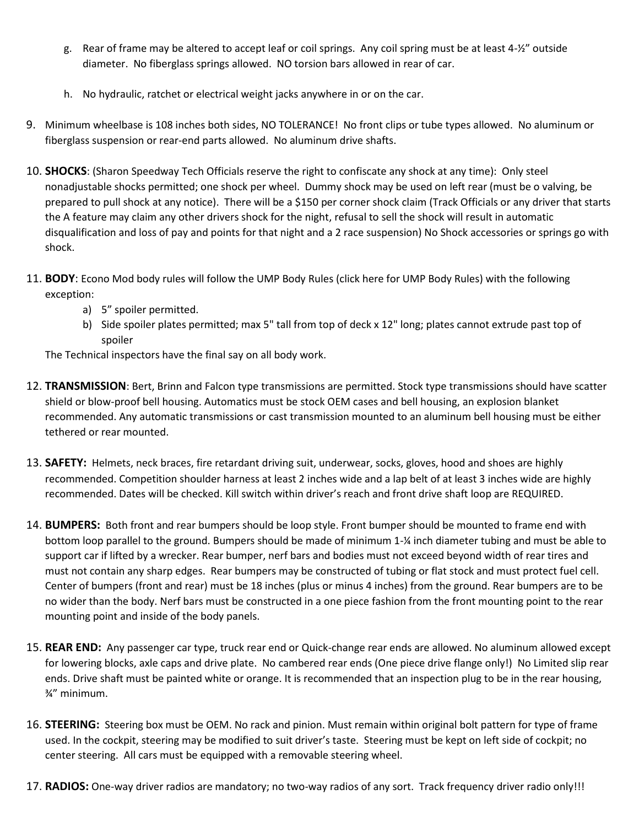- g. Rear of frame may be altered to accept leaf or coil springs. Any coil spring must be at least 4-½" outside diameter. No fiberglass springs allowed. NO torsion bars allowed in rear of car.
- h. No hydraulic, ratchet or electrical weight jacks anywhere in or on the car.
- 9. Minimum wheelbase is 108 inches both sides, NO TOLERANCE! No front clips or tube types allowed. No aluminum or fiberglass suspension or rear-end parts allowed. No aluminum drive shafts.
- 10. **SHOCKS**: (Sharon Speedway Tech Officials reserve the right to confiscate any shock at any time): Only steel nonadjustable shocks permitted; one shock per wheel. Dummy shock may be used on left rear (must be o valving, be prepared to pull shock at any notice). There will be a \$150 per corner shock claim (Track Officials or any driver that starts the A feature may claim any other drivers shock for the night, refusal to sell the shock will result in automatic disqualification and loss of pay and points for that night and a 2 race suspension) No Shock accessories or springs go with shock.
- 11. **BODY**: Econo Mod body rules will follow the UMP Body Rules [\(click here for UMP Body Rules\)](https://dirtcar.com/rules/dirtcar-modifieds/body/) with the following exception:
	- a) 5" spoiler permitted.
	- b) Side spoiler plates permitted; max 5" tall from top of deck x 12" long; plates cannot extrude past top of spoiler

The Technical inspectors have the final say on all body work.

- 12. **TRANSMISSION**: Bert, Brinn and Falcon type transmissions are permitted. Stock type transmissions should have scatter shield or blow-proof bell housing. Automatics must be stock OEM cases and bell housing, an explosion blanket recommended. Any automatic transmissions or cast transmission mounted to an aluminum bell housing must be either tethered or rear mounted.
- 13. **SAFETY:** Helmets, neck braces, fire retardant driving suit, underwear, socks, gloves, hood and shoes are highly recommended. Competition shoulder harness at least 2 inches wide and a lap belt of at least 3 inches wide are highly recommended. Dates will be checked. Kill switch within driver's reach and front drive shaft loop are REQUIRED.
- 14. **BUMPERS:** Both front and rear bumpers should be loop style. Front bumper should be mounted to frame end with bottom loop parallel to the ground. Bumpers should be made of minimum 1-¼ inch diameter tubing and must be able to support car if lifted by a wrecker. Rear bumper, nerf bars and bodies must not exceed beyond width of rear tires and must not contain any sharp edges. Rear bumpers may be constructed of tubing or flat stock and must protect fuel cell. Center of bumpers (front and rear) must be 18 inches (plus or minus 4 inches) from the ground. Rear bumpers are to be no wider than the body. Nerf bars must be constructed in a one piece fashion from the front mounting point to the rear mounting point and inside of the body panels.
- 15. **REAR END:** Any passenger car type, truck rear end or Quick-change rear ends are allowed. No aluminum allowed except for lowering blocks, axle caps and drive plate. No cambered rear ends (One piece drive flange only!) No Limited slip rear ends. Drive shaft must be painted white or orange. It is recommended that an inspection plug to be in the rear housing, ¾" minimum.
- 16. **STEERING:** Steering box must be OEM. No rack and pinion. Must remain within original bolt pattern for type of frame used. In the cockpit, steering may be modified to suit driver's taste. Steering must be kept on left side of cockpit; no center steering. All cars must be equipped with a removable steering wheel.
- 17. **RADIOS:** One-way driver radios are mandatory; no two-way radios of any sort. Track frequency driver radio only!!!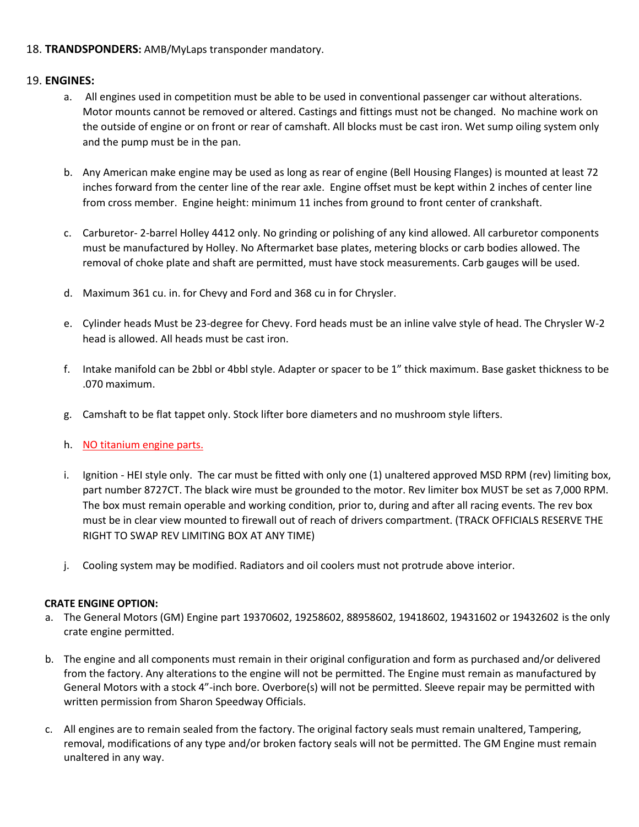### 18. **TRANDSPONDERS:** AMB/MyLaps transponder mandatory.

#### 19. **ENGINES:**

- a. All engines used in competition must be able to be used in conventional passenger car without alterations. Motor mounts cannot be removed or altered. Castings and fittings must not be changed. No machine work on the outside of engine or on front or rear of camshaft. All blocks must be cast iron. Wet sump oiling system only and the pump must be in the pan.
- b. Any American make engine may be used as long as rear of engine (Bell Housing Flanges) is mounted at least 72 inches forward from the center line of the rear axle. Engine offset must be kept within 2 inches of center line from cross member. Engine height: minimum 11 inches from ground to front center of crankshaft.
- c. Carburetor- 2-barrel Holley 4412 only. No grinding or polishing of any kind allowed. All carburetor components must be manufactured by Holley. No Aftermarket base plates, metering blocks or carb bodies allowed. The removal of choke plate and shaft are permitted, must have stock measurements. Carb gauges will be used.
- d. Maximum 361 cu. in. for Chevy and Ford and 368 cu in for Chrysler.
- e. Cylinder heads Must be 23-degree for Chevy. Ford heads must be an inline valve style of head. The Chrysler W-2 head is allowed. All heads must be cast iron.
- f. Intake manifold can be 2bbl or 4bbl style. Adapter or spacer to be 1" thick maximum. Base gasket thickness to be .070 maximum.
- g. Camshaft to be flat tappet only. Stock lifter bore diameters and no mushroom style lifters.
- h. NO titanium engine parts.
- i. Ignition HEI style only. The car must be fitted with only one (1) unaltered approved MSD RPM (rev) limiting box, part number 8727CT. The black wire must be grounded to the motor. Rev limiter box MUST be set as 7,000 RPM. The box must remain operable and working condition, prior to, during and after all racing events. The rev box must be in clear view mounted to firewall out of reach of drivers compartment. (TRACK OFFICIALS RESERVE THE RIGHT TO SWAP REV LIMITING BOX AT ANY TIME)
- j. Cooling system may be modified. Radiators and oil coolers must not protrude above interior.

#### **CRATE ENGINE OPTION:**

- a. The General Motors (GM) Engine part 19370602, 19258602, 88958602, 19418602, 19431602 or 19432602 is the only crate engine permitted.
- b. The engine and all components must remain in their original configuration and form as purchased and/or delivered from the factory. Any alterations to the engine will not be permitted. The Engine must remain as manufactured by General Motors with a stock 4"-inch bore. Overbore(s) will not be permitted. Sleeve repair may be permitted with written permission from Sharon Speedway Officials.
- c. All engines are to remain sealed from the factory. The original factory seals must remain unaltered, Tampering, removal, modifications of any type and/or broken factory seals will not be permitted. The GM Engine must remain unaltered in any way.